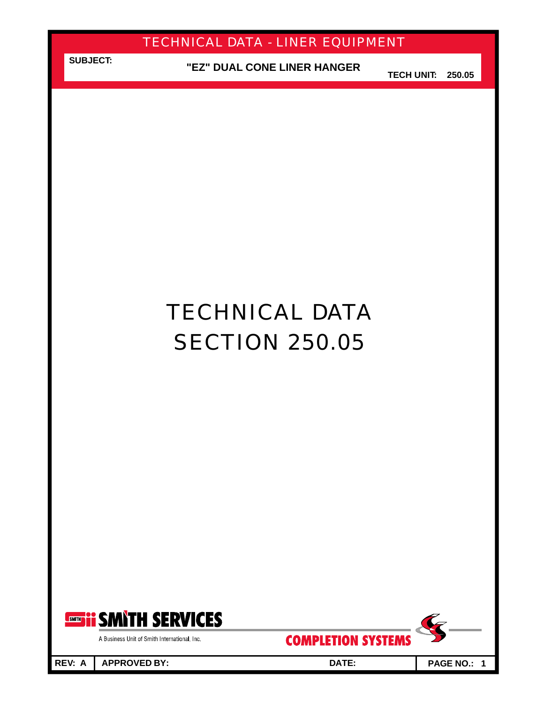**SUBJECT: "EZ" DUAL CONE LINER HANGER**

**TECH UNIT: 250.05**

# TECHNICAL DATA **SECTION 250.05**



A Business Unit of Smith International, Inc.

**REV: A APPROVED BY: DATE: PAGE NO.: 1**

**COMPLETION SYSTEMS** 

Ç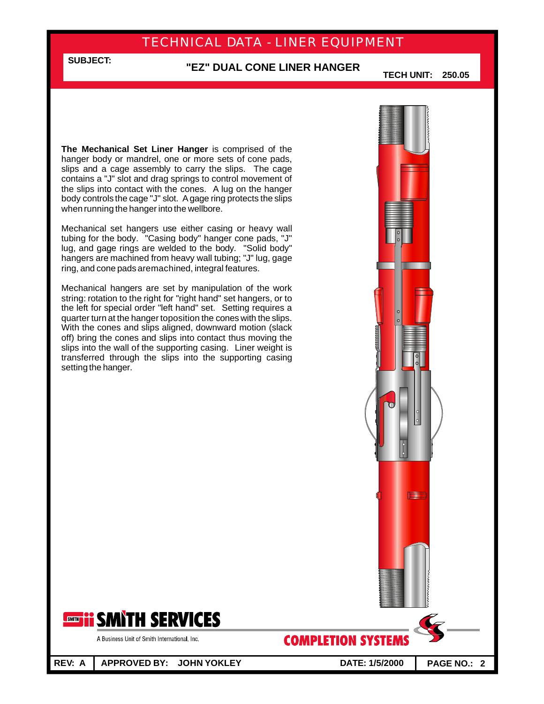#### **"EZ" DUAL CONE LINER HANGER**

**TECH UNIT: 250.05**

**The Mechanical Set Liner Hanger** is comprised of the hanger body or mandrel, one or more sets of cone pads, slips and a cage assembly to carry the slips. The cage contains a "J" slot and drag springs to control movement of the slips into contact with the cones. A lug on the hanger body controls the cage "J" slot. Agage ring protects the slips when running the hanger into the wellbore.

**SUBJECT:**

Mechanical set hangers use either casing or heavy wall tubing for the body. "Casing body" hanger cone pads, "J" lug, and gage rings are welded to the body. "Solid body" hangers are machined from heavy wall tubing; "J" lug, gage ring, and cone pads aremachined, integral features.

Mechanical hangers are set by manipulation of the work string: rotation to the right for "right hand" set hangers, or to the left for special order "left hand" set. Setting requires a quarter turn at the hanger toposition the cones with the slips. With the cones and slips aligned, downward motion (slack off) bring the cones and slips into contact thus moving the slips into the wall of the supporting casing. Liner weight is transferred through the slips into the supporting casing setting the hanger.



A Business Unit of Smith International, Inc.

**REV: A APPROVED BY: JOHN YOKLEY DATE: 1/5/2000 PAGE NO.: 2**

**COMPLETION SYSTEMS** 

Œ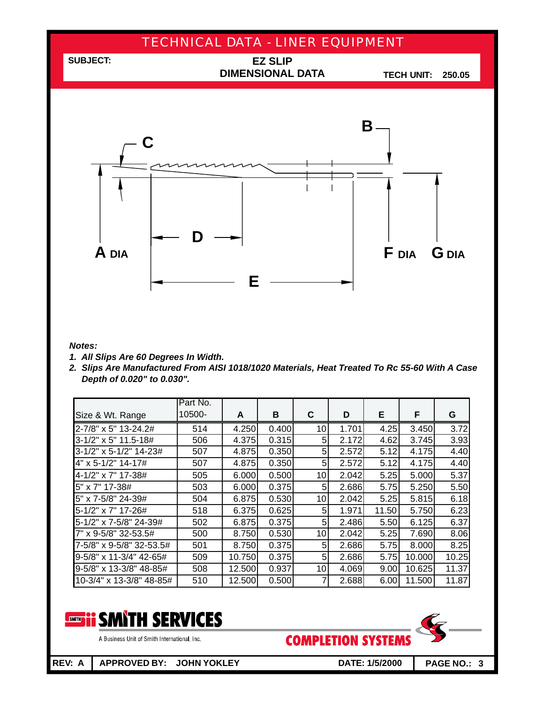

#### *Notes:*

- *1. All Slips Are 60 Degrees In Width.*
- *2. Slips Are Manufactured From AISI 1018/1020 Materials, Heat Treated To Rc 55-60 With A Case Depth of 0.020" to 0.030".*

|                          | Part No. |        |       |                 |       |       |        |       |
|--------------------------|----------|--------|-------|-----------------|-------|-------|--------|-------|
| Size & Wt. Range         | 10500-   | A      | B     | C               | D     | E.    | F      | G     |
| 2-7/8" x 5" 13-24.2#     | 514      | 4.250  | 0.400 | 10              | 1.701 | 4.25  | 3.450  | 3.72  |
| 3-1/2" x 5" 11.5-18#     | 506      | 4.375  | 0.315 | 5               | 2.172 | 4.62  | 3.745  | 3.93  |
| 3-1/2" x 5-1/2" 14-23#   | 507      | 4.875  | 0.350 | 5 <sup>1</sup>  | 2.572 | 5.12  | 4.175  | 4.40  |
| 4" x 5-1/2" 14-17#       | 507      | 4.875  | 0.350 | 5 <sup>1</sup>  | 2.572 | 5.12  | 4.175  | 4.40  |
| 4-1/2" x 7" 17-38#       | 505      | 6.000  | 0.500 | 10 <sup>1</sup> | 2.042 | 5.25  | 5.000  | 5.37  |
| 5" x 7" 17-38#           | 503      | 6.000  | 0.375 | 5               | 2.686 | 5.75  | 5.250  | 5.50  |
| 5" x 7-5/8" 24-39#       | 504      | 6.875  | 0.530 | 10              | 2.042 | 5.25  | 5.815  | 6.18  |
| 5-1/2" x 7" 17-26#       | 518      | 6.375  | 0.625 | 5 <sup>1</sup>  | 1.971 | 11.50 | 5.750  | 6.23  |
| 5-1/2" x 7-5/8" 24-39#   | 502      | 6.875  | 0.375 | 5               | 2.486 | 5.50  | 6.125  | 6.37  |
| 7" x 9-5/8" 32-53.5#     | 500      | 8.750  | 0.530 | 10 <sup>1</sup> | 2.042 | 5.25  | 7.690  | 8.06  |
| 7-5/8" x 9-5/8" 32-53.5# | 501      | 8.750  | 0.375 | 5 <sup>1</sup>  | 2.686 | 5.75  | 8.000  | 8.25  |
| 9-5/8" x 11-3/4" 42-65#  | 509      | 10.750 | 0.375 | 5               | 2.686 | 5.75  | 10.000 | 10.25 |
| 9-5/8" x 13-3/8" 48-85#  | 508      | 12.500 | 0.937 | 10              | 4.069 | 9.00  | 10.625 | 11.37 |
| 10-3/4" x 13-3/8" 48-85# | 510      | 12.500 | 0.500 |                 | 2.688 | 6.00  | 11.500 | 11.87 |



A Business Unit of Smith International, Inc.

**COMPLETION SYSTEM** 

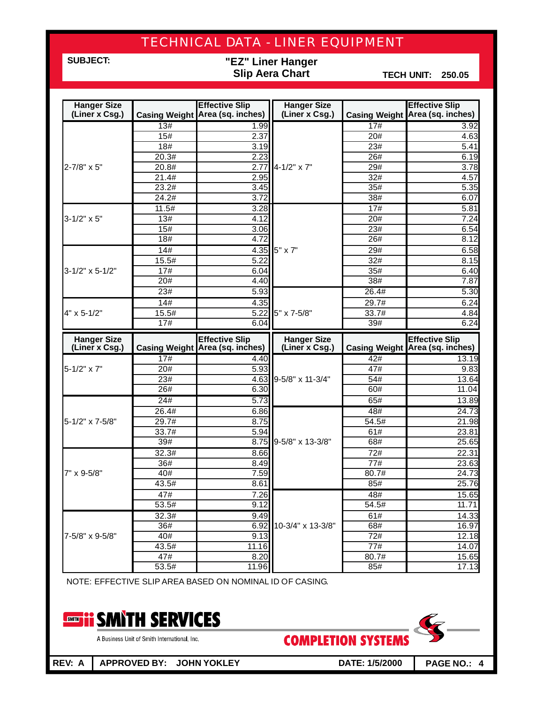**SUBJECT:**

### **"EZ" Liner Hanger Slip Aera Chart**

**TECH UNIT: 250.05**

| <b>Hanger Size</b>         |              | <b>Effective Slip</b>                  | <b>Hanger Size</b> |                   | <b>Effective Slip</b>                     |
|----------------------------|--------------|----------------------------------------|--------------------|-------------------|-------------------------------------------|
| (Liner x Csg.)             |              | <b>Casing Weight Area (sq. inches)</b> | (Liner x Csg.)     |                   | Casing Weight Area (sq. inches)           |
|                            | 13#          | 1.99                                   |                    | 17#               | 3.92                                      |
|                            | 15#          | 2.37                                   |                    | 20#               | 4.63                                      |
|                            | 18#          | 3.19                                   |                    | 23#               | 5.41                                      |
|                            | 20.3#        | 2.23                                   |                    | 26#               | 6.19                                      |
| 2-7/8" x 5"                | 20.8#        | 2.77                                   | 4-1/2" x 7"        | 29#               | 3.78                                      |
|                            | 21.4#        | 2.95                                   |                    | 32#               | 4.57                                      |
|                            | 23.2#        | 3.45                                   |                    | 35#               | 5.35                                      |
|                            | 24.2#        | 3.72                                   |                    | 38#               | 6.07                                      |
|                            | 11.5#        | 3.28                                   |                    | 17#               | 5.81                                      |
| $3 - 1/2" \times 5"$       | 13#          | 4.12                                   |                    | 20#               | 7.24                                      |
|                            | 15#          | $\overline{3.06}$                      |                    | 23#               | 6.54                                      |
|                            | 18#          | 4.72                                   |                    | 26#               | 8.12                                      |
|                            | 14#          | 4.35                                   | 5" x 7"            | 29#               | 6.58                                      |
|                            | 15.5#        | 5.22                                   |                    | 32#               | 8.15                                      |
| $3 - 1/2" \times 5 - 1/2"$ | 17#          | 6.04                                   |                    | 35#               | 6.40                                      |
|                            | 20#          | 4.40                                   |                    | 38#               | 7.87                                      |
|                            | 23#          | 5.93                                   |                    | 26.4#             | 5.30                                      |
|                            | 14#          | 4.35                                   |                    | 29.7#             | 6.24                                      |
| 4" x 5-1/2"                | 15.5#        | 5.22                                   | 5" x 7-5/8"        | 33.7#             | 4.84                                      |
|                            | 17#          | 6.04                                   |                    | 39#               | 6.24                                      |
|                            |              |                                        |                    |                   |                                           |
| <b>Hanger Size</b>         |              | <b>Effective Slip</b>                  | <b>Hanger Size</b> |                   | <b>Effective Slip</b>                     |
| (Liner x Csg.)             |              | <b>Casing Weight Area (sq. inches)</b> | (Liner x Csg.)     |                   | Casing Weight Area (sq. inches)           |
|                            | 17#          | 4.40                                   |                    | 42#               | 13.19                                     |
| 5-1/2" x 7"                | 20#          | 5.93                                   |                    | 47#               | 9.83                                      |
|                            | 23#          | 4.63                                   | 9-5/8" x 11-3/4"   | 54#               | 13.64                                     |
|                            | 26#          | 6.30                                   |                    | 60#               | 11.04                                     |
|                            | 24#          | 5.73                                   |                    | 65#               | 13.89                                     |
|                            | 26.4#        | 6.86                                   |                    | 48#               | 24.73                                     |
| 5-1/2" x 7-5/8"            | 29.7#        | 8.75                                   |                    | 54.5#             | 21.98                                     |
|                            | 33.7#        | 5.94                                   |                    | 61#               | 23.81                                     |
|                            | 39#          | 8.75                                   | 9-5/8" x 13-3/8"   | 68#               | 25.65                                     |
|                            | 32.3#        | 8.66                                   |                    | 72#               | 22.31                                     |
|                            | 36#          | 8.49                                   |                    | $\overline{77\#}$ | 23.63                                     |
| 7" x 9-5/8"                | 40#          | 7.59                                   |                    | 80.7#             | 24.73                                     |
|                            | 43.5#        | 8.61                                   |                    | 85#               | 25.76                                     |
|                            | 47#          | 7.26                                   |                    | 48#               |                                           |
|                            | 53.5#        | 9.12                                   |                    | 54.5#             | 11.71                                     |
|                            | 32.3#        | 9.49                                   |                    | 61#               |                                           |
|                            | 36#          | 6.92                                   | 10-3/4" x 13-3/8"  | 68#               | 16.97                                     |
| 7-5/8" x 9-5/8"            | 40#          | 9.13                                   |                    | 72#               |                                           |
|                            | 43.5#        | 11.16                                  |                    | 77#               | 14.07                                     |
|                            | 47#<br>53.5# | 8.20<br>11.96                          |                    | 80.7#<br>85#      | 15.65<br>14.33<br>12.18<br>15.65<br>17.13 |

NOTE: EFFECTIVE SLIP AREA BASED ON NOMINAL ID OF CASING.



A Business Unit of Smith International, Inc.

**COMPLETION SYSTEMS** 

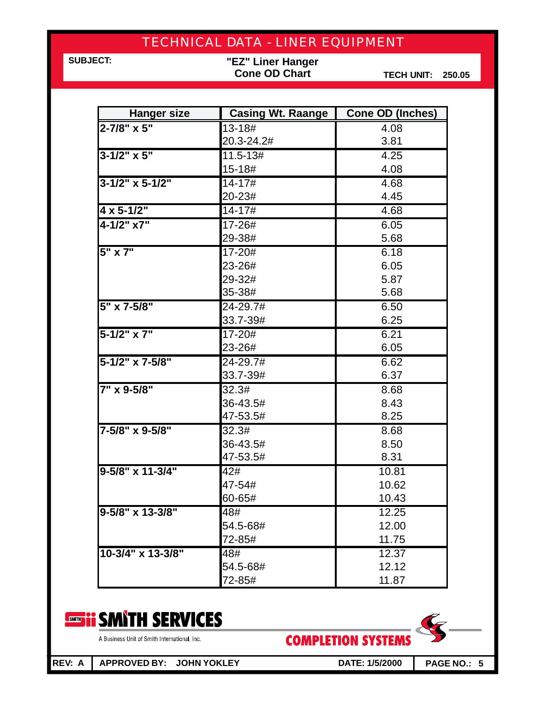**SUBJECT:**

**"EZ" Liner Hanger Cone OD Chart**

**TECH UNIT: 250.05**

| <b>Hanger size</b>   | <b>Casing Wt. Raange</b> | <b>Cone OD (Inches)</b> |
|----------------------|--------------------------|-------------------------|
| 2-7/8" x 5"          | 13-18#                   | 4.08                    |
|                      | 20.3-24.2#               | 3.81                    |
| $3 - 1/2" \times 5"$ | $11.5 - 13#$             | 4.25                    |
|                      | 15-18#                   | 4.08                    |
| $3-1/2$ " x 5-1/2"   | $14 - 17 \frac{1}{4}$    | 4.68                    |
|                      | 20-23#                   | 4.45                    |
| $4 \times 5 - 1/2$ " | 14-17#                   | 4.68                    |
| $4 - 1/2" x7"$       | 17-26#                   | 6.05                    |
|                      | 29-38#                   | 5.68                    |
| 5" x 7"              | 17-20#                   | 6.18                    |
|                      | 23-26#                   | 6.05                    |
|                      | 29-32#                   | 5.87                    |
|                      | 35-38#                   | 5.68                    |
| 5" x 7-5/8"          | 24-29.7#                 | 6.50                    |
|                      | 33.7-39#                 | 6.25                    |
| $5 - 1/2" x 7"$      | 17-20#                   | 6.21                    |
|                      | 23-26#                   | 6.05                    |
| 5-1/2" x 7-5/8"      | 24-29.7#                 | 6.62                    |
|                      | 33.7-39#                 | 6.37                    |
| 7" x 9-5/8"          | 32.3#                    | 8.68                    |
|                      | 36-43.5#                 | 8.43                    |
|                      | 47-53.5#                 | 8.25                    |
| 7-5/8" x 9-5/8"      | 32.3#                    | 8.68                    |
|                      | 36-43.5#                 | 8.50                    |
|                      | 47-53.5#                 | 8.31                    |
| 9-5/8" x 11-3/4"     | 42#                      | 10.81                   |
|                      | 47-54#                   | 10.62                   |
|                      | 60-65#                   | 10.43                   |
| 9-5/8" x 13-3/8"     | 48#                      | 12.25                   |
|                      | 54.5-68#                 | 12.00                   |
|                      | 72-85#                   | 11.75                   |
| 10-3/4" x 13-3/8"    | 48#                      | 12.37                   |
|                      | 54.5-68#                 | 12.12                   |
|                      | 72-85#                   | 11.87                   |

#### **SMITH SERVICES** SMITH **PP**

A Business Unit of Smith International, Inc.

**COMPLETION SYSTEMS** 

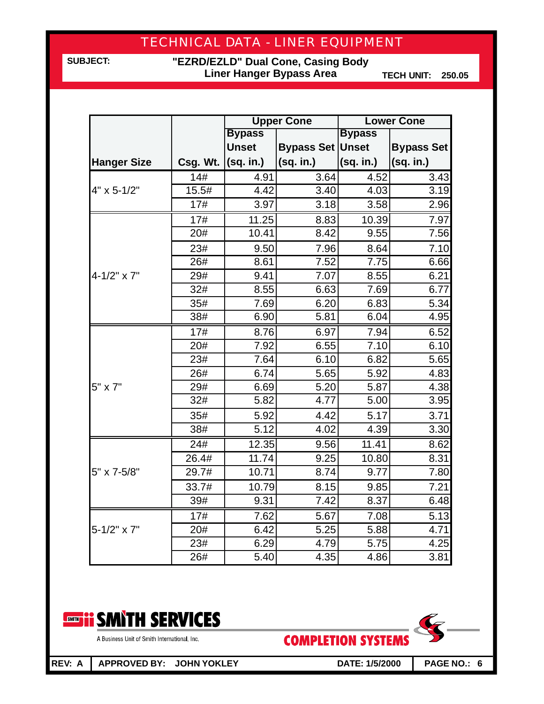**SUBJECT:**

**"EZRD/EZLD" Dual Cone, Casing Body Liner Hanger Bypass Area**

**TECH UNIT: 250.05**

|                      |                       | <b>Upper Cone</b> |                         |               | <b>Lower Cone</b> |
|----------------------|-----------------------|-------------------|-------------------------|---------------|-------------------|
|                      |                       | <b>Bypass</b>     |                         | <b>Bypass</b> |                   |
|                      |                       | <b>Unset</b>      | <b>Bypass Set Unset</b> |               | <b>Bypass Set</b> |
| <b>Hanger Size</b>   | Csg. Wt. $ (sq. in.)$ |                   | (sq. in.)               | (sq. in.)     | (sq. in.)         |
|                      | 14#                   | 4.91              | 3.64                    | 4.52          | 3.43              |
| 4" x 5-1/2"          | 15.5#                 | 4.42              | 3.40                    | 4.03          | 3.19              |
|                      | 17#                   | 3.97              | 3.18                    | 3.58          | 2.96              |
|                      | 17#                   | 11.25             | 8.83                    | 10.39         | 7.97              |
|                      | 20#                   | 10.41             | 8.42                    | 9.55          | 7.56              |
|                      | 23#                   | 9.50              | 7.96                    | 8.64          | 7.10              |
|                      | 26#                   | 8.61              | 7.52                    | 7.75          | 6.66              |
| $4 - 1/2" \times 7"$ | 29#                   | 9.41              | 7.07                    | 8.55          | 6.21              |
|                      | 32#                   | 8.55              | 6.63                    | 7.69          | 6.77              |
|                      | 35#                   | 7.69              | 6.20                    | 6.83          | 5.34              |
|                      | 38#                   | 6.90              | 5.81                    | 6.04          | 4.95              |
|                      | 17#                   | 8.76              | 6.97                    | 7.94          | 6.52              |
|                      | 20#                   | 7.92              | 6.55                    | 7.10          | 6.10              |
|                      | 23#                   | 7.64              | 6.10                    | 6.82          | 5.65              |
|                      | 26#                   | 6.74              | 5.65                    | 5.92          | 4.83              |
| 5" x 7"              | 29#                   | 6.69              | 5.20                    | 5.87          | 4.38              |
|                      | 32#                   | 5.82              | 4.77                    | 5.00          | 3.95              |
|                      | 35#                   | 5.92              | 4.42                    | 5.17          | 3.71              |
|                      | 38#                   | 5.12              | 4.02                    | 4.39          | 3.30              |
|                      | 24#                   | 12.35             | 9.56                    | 11.41         | 8.62              |
|                      | 26.4#                 | 11.74             | 9.25                    | 10.80         | 8.31              |
| 5" x 7-5/8"          | 29.7#                 | 10.71             | 8.74                    | 9.77          | 7.80              |
|                      | 33.7#                 | 10.79             | 8.15                    | 9.85          | 7.21              |
|                      | 39#                   | 9.31              | 7.42                    | 8.37          | 6.48              |
|                      | 17#                   | 7.62              | 5.67                    | 7.08          | 5.13              |
| 5-1/2" x 7"          | 20#                   | 6.42              | 5.25                    | 5.88          | 4.71              |
|                      | 23#                   | 6.29              | 4.79                    | 5.75          | 4.25              |
|                      | 26#                   | 5.40              | 4.35                    | 4.86          | 3.81              |



A Business Unit of Smith International, Inc.

**REV: A APPROVED BY: JOHN YOKLEY DATE: 1/5/2000 PAGE NO.: 6**

**COMPLETION SYSTEMS** 

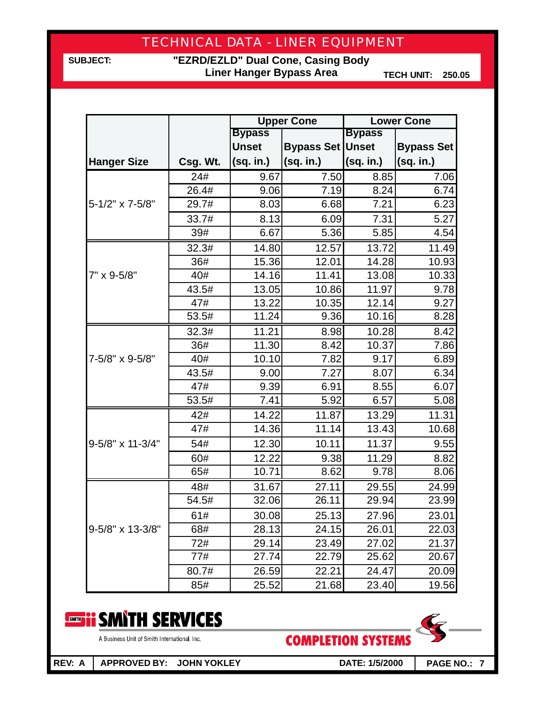**SUBJECT:**

**"EZRD/EZLD" Dual Cone, Casing Body Liner Hanger Bypass Area**

**TECH UNIT: 250.05**

|                    |          |                    | <b>Upper Cone</b>       |               | <b>Lower Cone</b> |
|--------------------|----------|--------------------|-------------------------|---------------|-------------------|
|                    |          | <b>Bypass</b>      |                         | <b>Bypass</b> |                   |
|                    |          | <b>Unset</b>       | <b>Bypass Set Unset</b> |               | <b>Bypass Set</b> |
| <b>Hanger Size</b> | Csg. Wt. | (sq. in.)          | (sq. in.)               | (sq. in.)     | (sq. in.)         |
|                    | 24#      | 9.67               | 7.50                    | 8.85          | 7.06              |
|                    | 26.4#    | 9.06               | 7.19                    | 8.24          | 6.74              |
| 5-1/2" x 7-5/8"    | 29.7#    | 8.03               | 6.68                    | 7.21          | 6.23              |
|                    | 33.7#    | 8.13               | 6.09                    | 7.31          | 5.27              |
|                    | 39#      | 6.67               | 5.36                    | 5.85          | 4.54              |
|                    | 32.3#    | 14.80              | 12.57                   | 13.72         | 11.49             |
|                    | 36#      | 15.36              | 12.01                   | 14.28         | 10.93             |
| 7" x 9-5/8"        | 40#      | 14.16              | 11.41                   | 13.08         | 10.33             |
|                    | 43.5#    | 13.05              | 10.86                   | 11.97         | 9.78              |
|                    | 47#      | 13.22              | 10.35                   | 12.14         | 9.27              |
|                    | 53.5#    | 11.24              | 9.36                    | 10.16         | 8.28              |
|                    | 32.3#    | 11.21              | 8.98                    | 10.28         | 8.42              |
|                    | 36#      | $\overline{1}1.30$ | 8.42                    | 10.37         | 7.86              |
| 7-5/8" x 9-5/8"    | 40#      | 10.10              | 7.82                    | 9.17          | 6.89              |
|                    | 43.5#    | 9.00               | 7.27                    | 8.07          | 6.34              |
|                    | 47#      | 9.39               | 6.91                    | 8.55          | 6.07              |
|                    | 53.5#    | 7.41               | 5.92                    | 6.57          | 5.08              |
|                    | 42#      | 14.22              | 11.87                   | 13.29         | 11.31             |
|                    | 47#      | 14.36              | 11.14                   | 13.43         | 10.68             |
| 9-5/8" x 11-3/4"   | 54#      | 12.30              | 10.11                   | 11.37         | 9.55              |
|                    | 60#      | 12.22              | 9.38                    | 11.29         | 8.82              |
|                    | 65#      | 10.71              | 8.62                    | 9.78          | 8.06              |
|                    | 48#      | 31.67              | 27.11                   | 29.55         | 24.99             |
|                    | 54.5#    | 32.06              | 26.11                   | 29.94         | 23.99             |
|                    | 61#      | 30.08              | 25.13                   | 27.96         | 23.01             |
| 9-5/8" x 13-3/8"   | 68#      | 28.13              | 24.15                   | 26.01         | 22.03             |
|                    | 72#      | 29.14              | 23.49                   | 27.02         | 21.37             |
|                    | 77#      | 27.74              | 22.79                   | 25.62         | 20.67             |
|                    | 80.7#    | 26.59              | 22.21                   | 24.47         | 20.09             |
|                    | 85#      | 25.52              | 21.68                   | 23.40         | 19.56             |



A Business Unit of Smith International, Inc.

**COMPLETION SYSTEMS** 

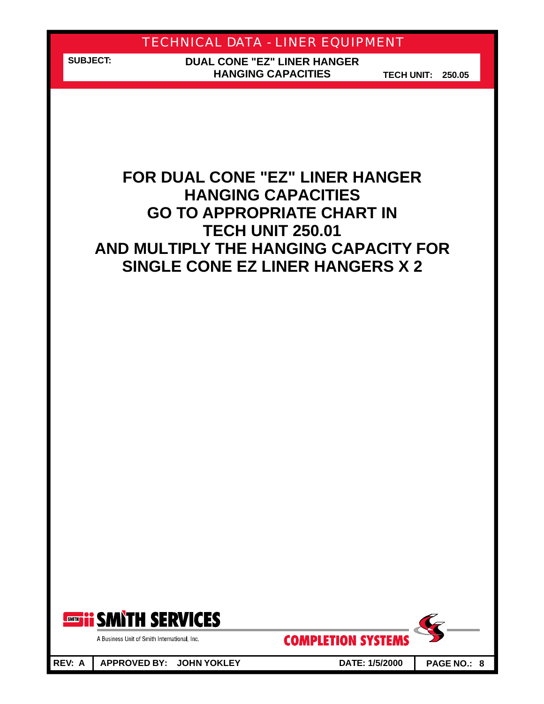**SUBJECT:**

**DUAL CONE "EZ" LINER HANGER HANGING CAPACITIES**

**TECH UNIT: 250.05**

## **FOR DUAL CONE " EZ" LINER HANGER AND MULTIPLY THE HANGING CAPACITY FOR HANGING CAPACITIES GO TO APPROPRIATE CHART IN TECH UNIT 250.01 SINGLE CONE EZ LINER HANGERS X 2**



A Business Unit of Smith International, Inc.

**COMPLETION SYSTEMS** 

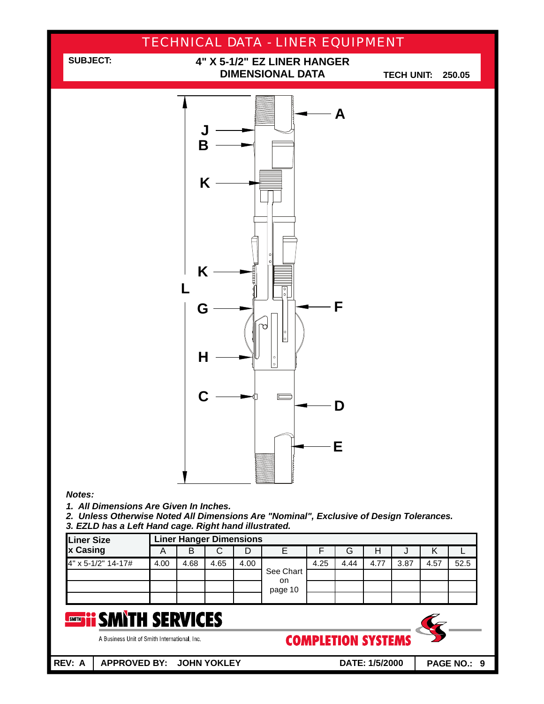

A Business Unit of Smith International, Inc.

**COMPLETION SYSTEMS**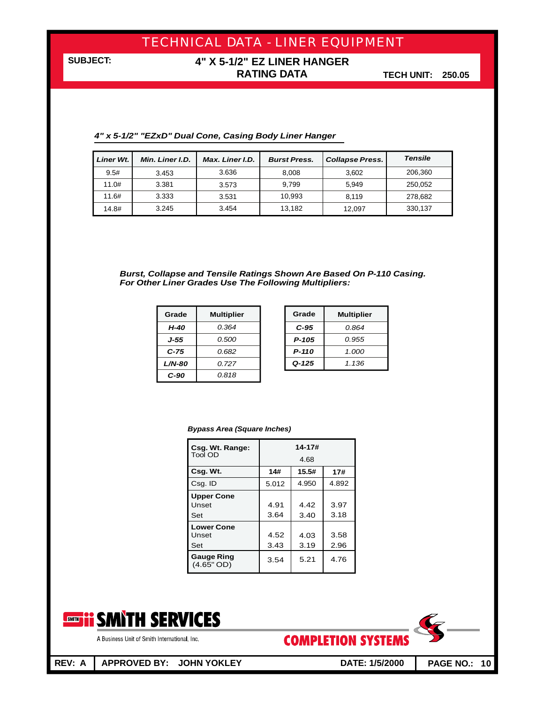**SUBJECT:**

### **4" X 5-1/2" EZ LINER HANGER RATING DATA**

**TECH UNIT: 250.05**

|  |  |  | 4" x 5-1/2" "EZxD" Dual Cone, Casing Body Liner Hanger |  |  |  |
|--|--|--|--------------------------------------------------------|--|--|--|
|--|--|--|--------------------------------------------------------|--|--|--|

| Liner Wt. | Min. Liner I.D. | Max. Liner I.D. | <b>Burst Press.</b> | <b>Collapse Press.</b> | <b>Tensile</b> |
|-----------|-----------------|-----------------|---------------------|------------------------|----------------|
| 9.5#      | 3.453           | 3.636           | 8.008               | 3.602                  | 206,360        |
| 11.0#     | 3.381           | 3.573           | 9.799               | 5.949                  | 250,052        |
| 11.6#     | 3.333           | 3.531           | 10.993              | 8.119                  | 278,682        |
| 14.8#     | 3.245           | 3.454           | 13.182              | 12.097                 | 330,137        |

*Burst, Collapse and Tensile Ratings Shown Are Based On P-110 Casing. For Other Liner Grades Use The Following Multipliers:*

| Grade    | <b>Multiplier</b> | Grade     | <b>Multipli</b> |
|----------|-------------------|-----------|-----------------|
| H-40     | 0.364             | $C-95$    | 0.864           |
| J-55     | 0.500             | $P-105$   | 0.955           |
| $C-75$   | 0.682             | $P-110$   | 1.000           |
| $L/N-80$ | 0.727             | $Q - 125$ | 1.136           |
| $C-90$   | 0.818             |           |                 |

| Grade     | <b>Multiplier</b> |
|-----------|-------------------|
| C-95      | 0.864             |
| P-105     | 0.955             |
| $P-110$   | 1.000             |
| $Q - 125$ | 1.136             |

#### *Bypass Area (Square Inches)*

| Csg. Wt. Range:                 | $14 - 17#$ |       |       |  |  |  |
|---------------------------------|------------|-------|-------|--|--|--|
| Tool OD                         | 4.68       |       |       |  |  |  |
| Csg. Wt.                        | 14#        | 15.5# | 17#   |  |  |  |
| Csg. ID                         | 5.012      | 4.950 | 4.892 |  |  |  |
| <b>Upper Cone</b>               |            |       |       |  |  |  |
| Unset                           | 4.91       | 4.42  | 3.97  |  |  |  |
| Set                             | 3.64       | 3.40  | 3.18  |  |  |  |
| <b>Lower Cone</b>               |            |       |       |  |  |  |
| Unset                           | 4.52       | 4.03  | 3.58  |  |  |  |
| Set                             | 3.43       | 3.19  | 2.96  |  |  |  |
| <b>Gauge Ring</b><br>(4.65" OD) | 3.54       | 5.21  | 4.76  |  |  |  |





A Business Unit of Smith International, Inc.

**REV: A APPROVED BY: JOHN YOKLEY DATE: 1/5/2000 PAGE NO.: 10**

**COMPLETION SYSTEMS**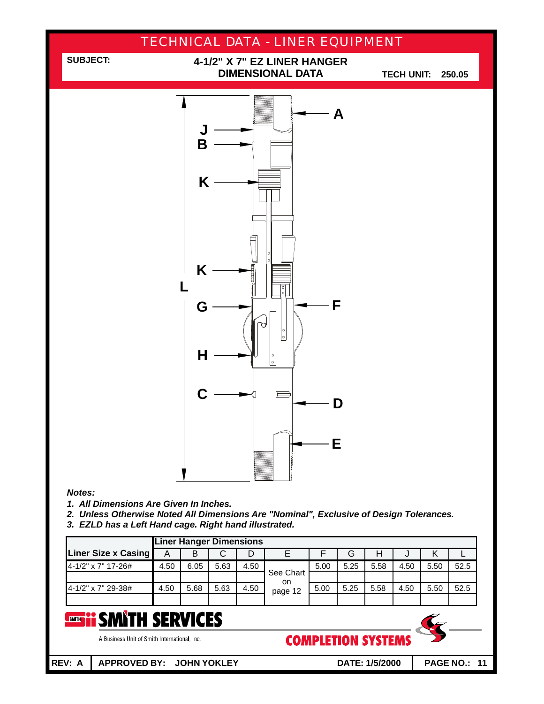

|                     |      | . .  |      |      |                  |      |      |      |      |      |      |
|---------------------|------|------|------|------|------------------|------|------|------|------|------|------|
| Liner Size x Casing |      | B    |      | D    |                  |      | G    |      | υ    |      |      |
| 4-1/2" x 7" 17-26#  | 4.50 | 6.05 | 5.63 | 4.50 |                  | 5.00 | 5.25 | 5.58 | 4.50 | 5.50 | 52.5 |
|                     |      |      |      |      | See Chart<br>on. |      |      |      |      |      |      |
| 4-1/2" x 7" 29-38#  | 4.50 | 5.68 | 5.63 | 4.50 | page 12          | 5.00 | 5.25 | 5.58 | 4.50 | 5.50 | 52.5 |
|                     |      |      |      |      |                  |      |      |      |      |      |      |
|                     |      |      |      |      |                  |      |      |      |      |      |      |

#### SMITH SERVICES SMITH

A Business Unit of Smith International, Inc.

**REV: A APPROVED BY: JOHN YOKLEY DATE: 1/5/2000 PAGE NO.: 11**

**COMPLETION SYSTEMS**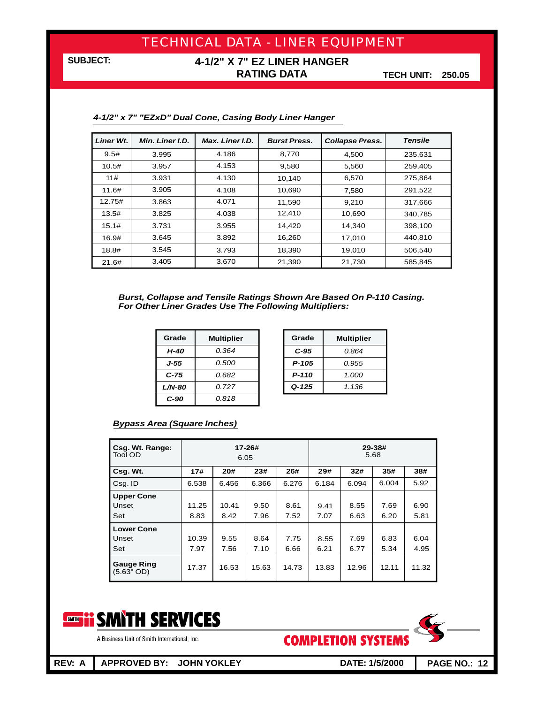### **4-1/2" X 7" EZ LINER HANGER RATING DATA**

**TECH UNIT: 250.05**

| Liner Wt. | Min. Liner I.D. | Max. Liner I.D. | <b>Burst Press.</b><br><b>Collapse Press.</b> |        | <b>Tensile</b> |
|-----------|-----------------|-----------------|-----------------------------------------------|--------|----------------|
| 9.5#      | 3.995           | 4.186           | 8.770                                         | 4,500  | 235,631        |
| 10.5#     | 3.957           | 4.153           | 9.580                                         | 5,560  | 259,405        |
| 11#       | 3.931           | 4.130           | 10,140                                        | 6,570  | 275,864        |
| 11.6#     | 3.905           | 4.108           | 10.690                                        | 7,580  | 291.522        |
| 12.75#    | 3.863           | 4.071           | 11,590                                        | 9,210  | 317,666        |
| 13.5#     | 3.825           | 4.038           | 12,410                                        | 10,690 | 340,785        |
| 15.1#     | 3.731           | 3.955           | 14.420                                        | 14,340 | 398.100        |
| 16.9#     | 3.645           | 3.892           | 16,260                                        | 17,010 | 440,810        |
| 18.8#     | 3.545           | 3.793           | 18.390                                        | 19.010 | 506.540        |
| 21.6#     | 3.405           | 3.670           | 21,390                                        | 21,730 | 585,845        |

*4-1/2" x 7" "EZxD" Dual Cone, Casing Body Liner Hanger*

*Burst, Collapse and Tensile Ratings Shown Are Based On P-110 Casing. For Other Liner Grades Use The Following Multipliers:*

| Grade     | <b>Multiplier</b> | Grade     | <b>Multipli</b> |
|-----------|-------------------|-----------|-----------------|
| $H-40$    | 0.364             | $C-95$    | 0.864           |
| J-55      | 0.500             | $P - 105$ | 0.955           |
| C-75      | 0.682             | $P-110$   | 1.000           |
| $L/N$ -80 | 0.727             | $Q - 125$ | 1.136           |
| $C-90$    | 0.818             |           |                 |

| Grade     | <b>Multiplier</b> |
|-----------|-------------------|
| C-95      | 0.864             |
| P-105     | 0.955             |
| P-110     | 1.000             |
| $Q - 125$ | 1.136             |

#### *Bypass Area (Square Inches)*

| Csg. Wt. Range:<br><b>Tool OD</b> | 17-26#<br>6.05 |               |              | 29-38#<br>5.68 |              |              |              |              |
|-----------------------------------|----------------|---------------|--------------|----------------|--------------|--------------|--------------|--------------|
| Csg. Wt.                          | 17#            | 20#           | 23#          | 26#            | 29#          | 32#          | 35#          | 38#          |
| Csq. ID                           | 6.538          | 6.456         | 6.366        | 6.276          | 6.184        | 6.094        | 6.004        | 5.92         |
| <b>Upper Cone</b><br>Unset<br>Set | 11.25<br>8.83  | 10.41<br>8.42 | 9.50<br>7.96 | 8.61<br>7.52   | 9.41<br>7.07 | 8.55<br>6.63 | 7.69<br>6.20 | 6.90<br>5.81 |
| <b>Lower Cone</b><br>Unset<br>Set | 10.39<br>7.97  | 9.55<br>7.56  | 8.64<br>7.10 | 7.75<br>6.66   | 8.55<br>6.21 | 7.69<br>6.77 | 6.83<br>5.34 | 6.04<br>4.95 |
| <b>Gauge Ring</b><br>$(5.63"$ OD) | 17.37          | 16.53         | 15.63        | 14.73          | 13.83        | 12.96        | 12.11        | 11.32        |



A Business Unit of Smith International, Inc.

**COMPLETION SYSTEMS** 

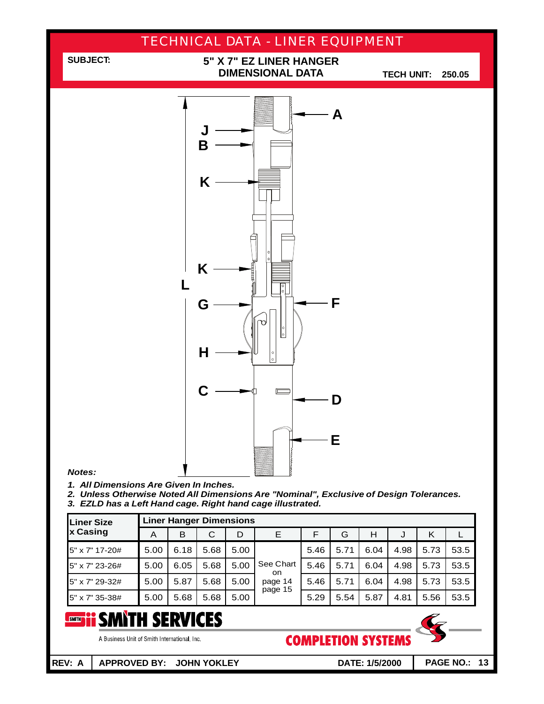

| <b>Liner Size</b> |      | <b>Liner Hanger Dimensions</b> |      |      |                  |      |      |      |      |      |      |
|-------------------|------|--------------------------------|------|------|------------------|------|------|------|------|------|------|
| x Casing          | A    | в                              | C    | D    | Е                | F    | G    | н    | J    | Κ    |      |
| 5" x 7" 17-20#    | 5.00 | 6.18                           | 5.68 | 5.00 |                  | 5.46 | 5.71 | 6.04 | 4.98 | 5.73 | 53.5 |
| 5" x 7" 23-26#    | 5.00 | 6.05                           | 5.68 | 5.00 | See Chart<br>on. | 5.46 | 5.71 | 6.04 | 4.98 | 5.73 | 53.5 |
| 5" x 7" 29-32#    | 5.00 | 5.87                           | 5.68 | 5.00 | page 14          | 5.46 | 5.71 | 6.04 | 4.98 | 5.73 | 53.5 |
| 5" x 7" 35-38#    | 5.00 | 5.68                           | 5.68 | 5.00 | page 15          | 5.29 | 5.54 | 5.87 | 4.81 | 5.56 | 53.5 |

#### **SMITH SERVICES** SMITH

A Business Unit of Smith International, Inc.

**COMPLETION SYSTEMS**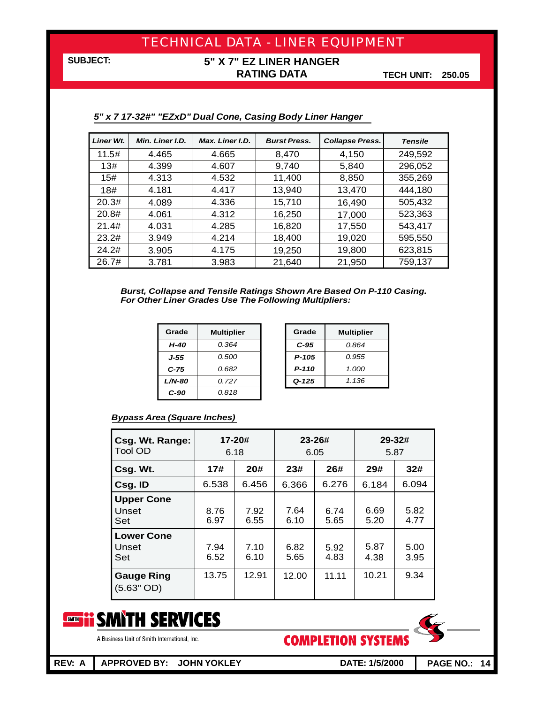### **5" X 7" EZ LINER HANGER RATING DATA**

**TECH UNIT: 250.05**

| Liner Wt. | Min. Liner I.D. | Max. Liner I.D. | <b>Burst Press.</b> | <b>Collapse Press.</b> | <b>Tensile</b> |
|-----------|-----------------|-----------------|---------------------|------------------------|----------------|
| 11.5#     | 4.465           | 4.665           | 8,470               | 4,150                  | 249,592        |
| 13#       | 4.399           | 4.607           | 9,740               | 5,840                  | 296,052        |
| 15#       | 4.313           | 4.532           | 11,400              | 8,850                  | 355,269        |
| 18#       | 4.181           | 4.417           | 13.940              | 13,470                 | 444,180        |
| 20.3#     | 4.089           | 4.336           | 15,710              | 16,490                 | 505,432        |
| 20.8#     | 4.061           | 4.312           | 16,250              | 17,000                 | 523,363        |
| 21.4#     | 4.031           | 4.285           | 16,820              | 17,550                 | 543,417        |
| 23.2#     | 3.949           | 4.214           | 18,400              | 19,020                 | 595,550        |
| 24.2#     | 3.905           | 4.175           | 19,250              | 19,800                 | 623,815        |
| 26.7#     | 3.781           | 3.983           | 21,640              | 21,950                 | 759,137        |

#### *5"x7 17-32#" "EZxD" Dual Cone, Casing Body Liner Hanger*

*Burst, Collapse and Tensile Ratings Shown Are Based On P-110 Casing. For Other Liner Grades Use The Following Multipliers:*

| Grade         | <b>Multiplier</b> | Grade     | <b>Multipli</b> |
|---------------|-------------------|-----------|-----------------|
| $H-40$        | 0.364             | $C-95$    | 0.864           |
| J-55          | 0.500             | $P-105$   | 0.955           |
| $C-75$        | 0.682             | $P-110$   | 1.000           |
| <b>L/N-80</b> | 0.727             | $Q - 125$ | 1.136           |
| C-90          | 0.818             |           |                 |

| Grade | <b>Multiplier</b> |  |  |
|-------|-------------------|--|--|
| C-95  | 0.864             |  |  |
| P-105 | 0.955             |  |  |
| P-110 | 1.000             |  |  |
| Q-125 | 1.136             |  |  |

#### *Bypass Area (Square Inches)*

| Csg. Wt. Range:<br>Tool OD        | 17-20#<br>6.18 |              |              | $23 - 26#$<br>6.05 | $29 - 32#$<br>5.87 |              |
|-----------------------------------|----------------|--------------|--------------|--------------------|--------------------|--------------|
| Csg. Wt.                          | 17#            | 20#          | 23#          | 26#                | 29#                | 32#          |
| Csg. ID                           | 6.538          | 6.456        | 6.366        | 6.276              | 6.184              | 6.094        |
| <b>Upper Cone</b><br>Unset<br>Set | 8.76<br>6.97   | 7.92<br>6.55 | 7.64<br>6.10 | 6.74<br>5.65       | 6.69<br>5.20       | 5.82<br>4.77 |
| <b>Lower Cone</b><br>Unset<br>Set | 7.94<br>6.52   | 7.10<br>6.10 | 6.82<br>5.65 | 5.92<br>4.83       | 5.87<br>4.38       | 5.00<br>3.95 |
| <b>Gauge Ring</b><br>(5.63" OD)   | 13.75          | 12.91        | 12.00        | 11.11              | 10.21              | 9.34         |



A Business Unit of Smith International, Inc.

**COMPLETION SYSTEMS** 

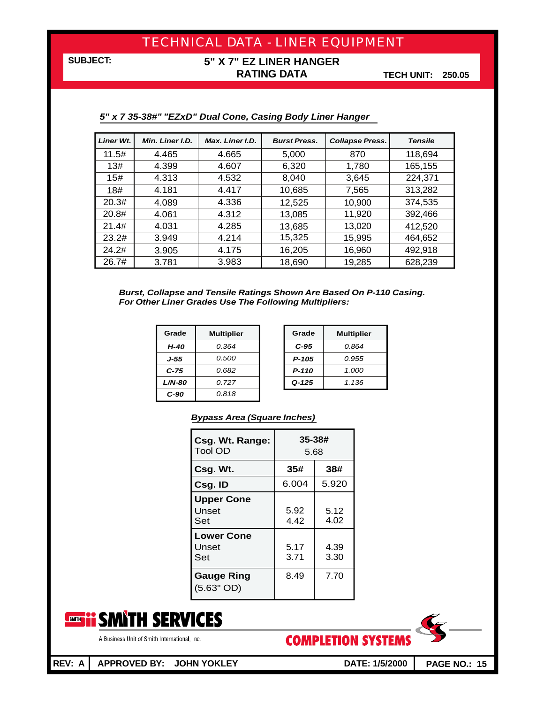### **5" X 7" EZ LINER HANGER RATING DATA**

**TECH UNIT: 250.05**

| <b>Liner Wt.</b> | Min. Liner I.D. | Max. Liner I.D. | <b>Burst Press.</b> | <b>Collapse Press.</b> | <b>Tensile</b> |
|------------------|-----------------|-----------------|---------------------|------------------------|----------------|
| 11.5#            | 4.465           | 4.665           | 5,000               | 870                    | 118,694        |
| 13#              | 4.399           | 4.607           | 6,320               | 1,780                  | 165,155        |
| 15#              | 4.313           | 4.532           | 8.040               | 3,645                  | 224,371        |
| 18#              | 4.181           | 4.417           | 10,685              | 7,565                  | 313,282        |
| 20.3#            | 4.089           | 4.336           | 12,525              | 10,900                 | 374,535        |
| 20.8#            | 4.061           | 4.312           | 13,085              | 11,920                 | 392,466        |
| 21.4#            | 4.031           | 4.285           | 13,685              | 13,020                 | 412,520        |
| 23.2#            | 3.949           | 4.214           | 15,325              | 15,995                 | 464,652        |
| 24.2#            | 3.905           | 4.175           | 16,205              | 16,960                 | 492,918        |
| 26.7#            | 3.781           | 3.983           | 18,690              | 19,285                 | 628,239        |

#### *5"x7 35-38#" "EZxD" Dual Cone, Casing Body Liner Hanger*

*Burst, Collapse and Tensile Ratings Shown Are Based On P-110 Casing. For Other Liner Grades Use The Following Multipliers:*

| Grade         | <b>Multiplier</b> | Grade     | <b>Multipli</b> |
|---------------|-------------------|-----------|-----------------|
| H-40          | 0.364             | $C-95$    | 0.864           |
| J-55          | 0.500             | $P-105$   | 0.955           |
| $C-75$        | 0.682             | $P-110$   | 1.000           |
| <b>L/N-80</b> | 0.727             | $Q - 125$ | 1.136           |
| C-90          | 0.818             |           |                 |

| Grade  | <b>Multiplier</b> |  |  |  |
|--------|-------------------|--|--|--|
| $C-95$ | N 864             |  |  |  |
| P-105  | 0.955             |  |  |  |
| P-110  | 1.000             |  |  |  |
| Q-125  | 1.136             |  |  |  |

*Bypass Area (Square Inches)*

| Csg. Wt. Range:<br><b>Tool OD</b> | 35-38#<br>5.68 |              |  |
|-----------------------------------|----------------|--------------|--|
| Csg. Wt.                          | 35#            | 38#          |  |
| Csg. ID                           | 6.004          | 5.920        |  |
| <b>Upper Cone</b><br>Unset<br>Set | 5.92<br>4.42   | 5.12<br>4.02 |  |
| <b>Lower Cone</b><br>Unset<br>Set | 5.17<br>3.71   | 4.39<br>3.30 |  |
| <b>Gauge Ring</b><br>$(5.63"$ OD) | 8.49           | 7.70         |  |



A Business Unit of Smith International, Inc.

**COMPLETION SYSTEMS** 

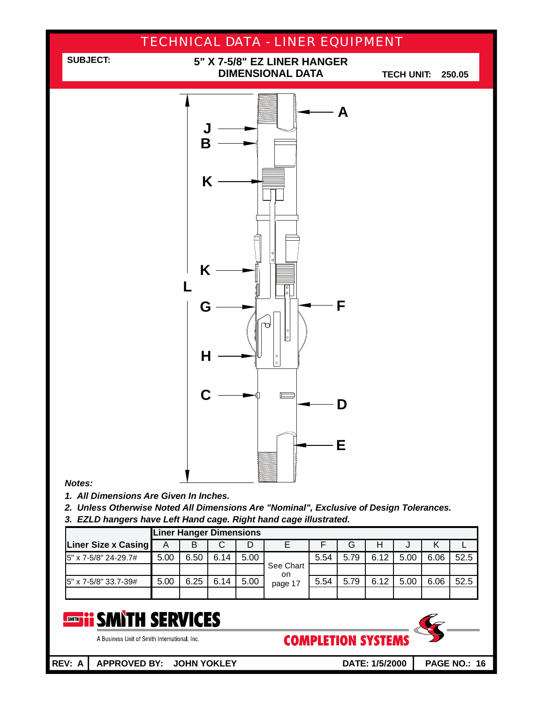

|                      |      | <b>Liner Hanger Dimensions</b> |      |      |                  |      |      |      |      |      |      |
|----------------------|------|--------------------------------|------|------|------------------|------|------|------|------|------|------|
| Liner Size x Casing  | Α    | в                              | С    |      |                  |      | G    | H    | J    |      |      |
| 5" x 7-5/8" 24-29.7# | 5.00 | 6.50                           | 6.14 | 5.00 |                  | 5.54 | 5.79 | 6.12 | 5.00 | 6.06 | 52.5 |
|                      |      |                                |      |      | See Chart<br>on. |      |      |      |      |      |      |
| 5" x 7-5/8" 33.7-39# | 5.00 | 6.25                           | 6.14 | 5.00 | page 17          | 5.54 | 5.79 | 6.12 | 5.00 | 6.06 | 52.5 |
|                      |      |                                |      |      |                  |      |      |      |      |      |      |

#### **EXAMPLE SERVICES** SMITH

A Business Unit of Smith International, Inc.

**COMPLETION SYSTEMS** 



**REV: A APPROVED BY: JOHN YOKLEY DATE: 1/5/2000**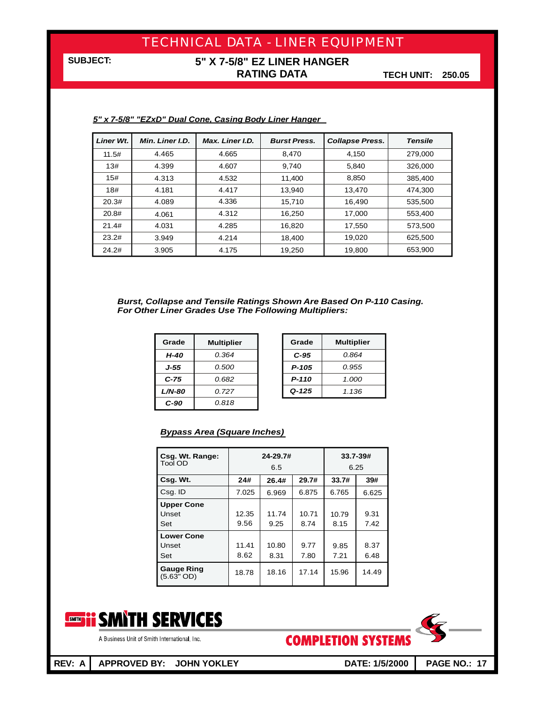### **5" X 7-5/8" EZ LINER HANGER RATING DATA**

**TECH UNIT: 250.05**

| <b>Liner Wt.</b> | Min. Liner I.D. | Max. Liner I.D. | <b>Burst Press.</b> | <b>Collapse Press.</b> | <b>Tensile</b> |
|------------------|-----------------|-----------------|---------------------|------------------------|----------------|
| 11.5#            | 4.465           | 4.665           | 8.470               | 4.150                  | 279,000        |
| 13#              | 4.399           | 4.607           | 9,740               | 5.840                  | 326,000        |
| 15#              | 4.313           | 4.532           | 11.400              | 8,850                  | 385.400        |
| 18#              | 4.181           | 4.417           | 13.940              | 13.470                 | 474.300        |
| 20.3#            | 4.089           | 4.336           | 15.710              | 16.490                 | 535.500        |
| 20.8#            | 4.061           | 4.312           | 16,250              | 17,000                 | 553,400        |
| 21.4#            | 4.031           | 4.285           | 16,820              | 17,550                 | 573,500        |
| 23.2#            | 3.949           | 4.214           | 18,400              | 19,020                 | 625.500        |
| 24.2#            | 3.905           | 4.175           | 19,250              | 19,800                 | 653,900        |
|                  |                 |                 |                     |                        |                |

#### *5" x 7-5/8" "EZxD" Dual Cone, Casing Body Liner Hanger*

*Burst, Collapse and Tensile Ratings Shown Are Based On P-110 Casing. For Other Liner Grades Use The Following Multipliers:*

| Grade    | <b>Multiplier</b> | Grade     | <b>Multipli</b> |
|----------|-------------------|-----------|-----------------|
| H-40     | 0.364             | $C-95$    | 0.864           |
| J-55     | 0.500             | $P-105$   | 0.955           |
| $C-75$   | 0.682             | P-110     | 1.000           |
| $L/N-80$ | 0.727             | $Q - 125$ | 1.136           |
| $C-90$   | 0.818             |           |                 |

| Grade     | Multiplier |
|-----------|------------|
| C-95      | 0.864      |
| P-105     | 0.955      |
| P-110     | 1.000      |
| $Q - 125$ | 1.136      |

#### *Bypass Area (Square Inches)*

| Csg. Wt. Range:<br>Tool OD        | 24-29.7#<br>6.5 |               |               | $33.7 - 39#$<br>6.25 |              |  |
|-----------------------------------|-----------------|---------------|---------------|----------------------|--------------|--|
| Csg. Wt.                          | 24#             | 26.4#         | 29.7#         | 33.7#                | 39#          |  |
| Csg. ID                           | 7.025           | 6.969         | 6.875         | 6.765                | 6.625        |  |
| <b>Upper Cone</b><br>Unset<br>Set | 12.35<br>9.56   | 11.74<br>9.25 | 10.71<br>8.74 | 10.79<br>8.15        | 9.31<br>7.42 |  |
| <b>Lower Cone</b><br>Unset<br>Set | 11.41<br>8.62   | 10.80<br>8.31 | 9.77<br>7.80  | 9.85<br>7.21         | 8.37<br>6.48 |  |
| <b>Gauge Ring</b><br>$(5.63"$ OD) | 18.78           | 18.16         | 17.14         | 15.96                | 14.49        |  |





A Business Unit of Smith International, Inc.

**REV: A APPROVED BY: JOHN YOKLEY DATE: 1/5/2000**

**COMPLETION SYSTEMS**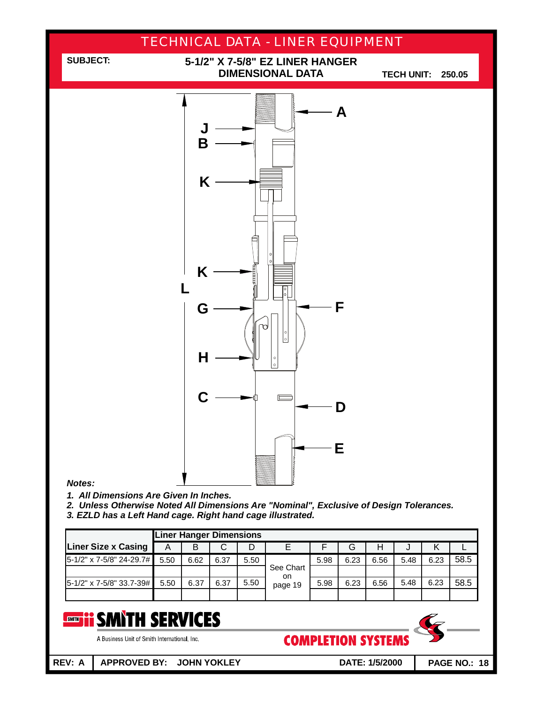

*3. EZLD has a Left Hand cage. Right hand cage illustrated.*

|                            |      | <b>Liner Hanger Dimensions</b> |      |      |                 |      |      |      |      |      |      |
|----------------------------|------|--------------------------------|------|------|-----------------|------|------|------|------|------|------|
| <b>Liner Size x Casing</b> | Α    | B                              |      |      |                 |      | G    | Н    | J    |      |      |
| 5-1/2" x 7-5/8" 24-29.7#   | 5.50 | 6.62                           | 6.37 | 5.50 |                 | 5.98 | 6.23 | 6.56 | 5.48 | 6.23 | 58.5 |
|                            |      |                                |      |      | See Chart<br>on |      |      |      |      |      |      |
| 5-1/2" x 7-5/8" 33.7-39#   | 5.50 | 6.37                           | 6.37 | 5.50 | page 19         | 5.98 | 6.23 | 6.56 | 5.48 | 6.23 | 58.5 |
|                            |      |                                |      |      |                 |      |      |      |      |      |      |

#### **SMITH SERVICES** SMITH

A Business Unit of Smith International, Inc.

**COMPLETION SYSTEMS** 

**PAGE NO.: 18**

**REV: A APPROVED BY: JOHN YOKLEY DATE: 1/5/2000**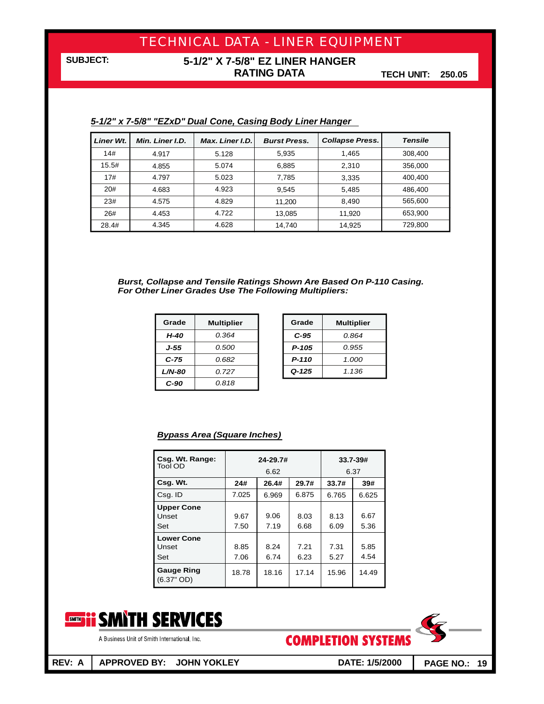### **5-1/2" X 7-5/8" EZ LINER HANGER RATING DATA**

**TECH UNIT: 250.05**

| <b>Liner Wt.</b> | Min. Liner I.D. | <b>Max. Liner I.D.</b> | <b>Burst Press.</b> | <b>Collapse Press.</b> | <b>Tensile</b> |
|------------------|-----------------|------------------------|---------------------|------------------------|----------------|
| 14#              | 4.917           | 5.128                  | 5,935               | 1.465                  | 308,400        |
| 15.5#            | 4.855           | 5.074                  | 6.885               | 2.310                  | 356,000        |
| 17#              | 4.797           | 5.023                  | 7,785               | 3,335                  | 400,400        |
| 20#              | 4.683           | 4.923                  | 9.545               | 5,485                  | 486,400        |
| 23#              | 4.575           | 4.829                  | 11.200              | 8.490                  | 565,600        |
| 26#              | 4.453           | 4.722                  | 13,085              | 11,920                 | 653,900        |
| 28.4#            | 4.345           | 4.628                  | 14,740              | 14,925                 | 729,800        |

#### *5-1/2" x 7-5/8" "EZxD" Dual Cone, Casing Body Liner Hanger*

*Burst, Collapse and Tensile Ratings Shown Are Based On P-110 Casing. For Other Liner Grades Use The Following Multipliers:*

| Grade         | <b>Multiplier</b> | Grade     | <b>Multipli</b> |
|---------------|-------------------|-----------|-----------------|
| H-40          | 0.364             | $C-95$    | 0.864           |
| J-55          | 0.500             | $P - 105$ | 0.955           |
| $C-75$        | 0.682             | $P-110$   | 1.000           |
| <b>L/N-80</b> | 0.727             | $Q - 125$ | 1.136           |
| $C-90$        | 0.818             |           |                 |

| Grade  | <b>Multiplier</b> |
|--------|-------------------|
| $C-95$ | N 864             |
| P-105  | 0.955             |
| P-110  | 1.000             |
| Q-125  | 1.136             |

#### *Bypass Area (Square Inches)*

| Csg. Wt. Range:                   |              | 24-29.7#     | $33.7 - 39#$ |              |              |  |
|-----------------------------------|--------------|--------------|--------------|--------------|--------------|--|
| Tool OD                           |              | 6.62         |              | 6.37         |              |  |
| Csq. Wt.                          | 24#          | 26.4#        | 29.7#        | 33.7#        | 39#          |  |
| Csg. ID                           | 7.025        | 6.969        | 6.875        | 6.765        | 6.625        |  |
| <b>Upper Cone</b><br>Unset<br>Set | 9.67<br>7.50 | 9.06<br>7.19 | 8.03<br>6.68 | 8.13<br>6.09 | 6.67<br>5.36 |  |
| <b>Lower Cone</b><br>Unset<br>Set | 8.85<br>7.06 | 8.24<br>6.74 | 7.21<br>6.23 | 7.31<br>5.27 | 5.85<br>4.54 |  |
| <b>Gauge Ring</b><br>$(6.37"$ OD) | 18.78        | 18.16        | 17.14        | 15.96        | 14.49        |  |





A Business Unit of Smith International, Inc.

**REV: A APPROVED BY: JOHN YOKLEY DATE: 1/5/2000**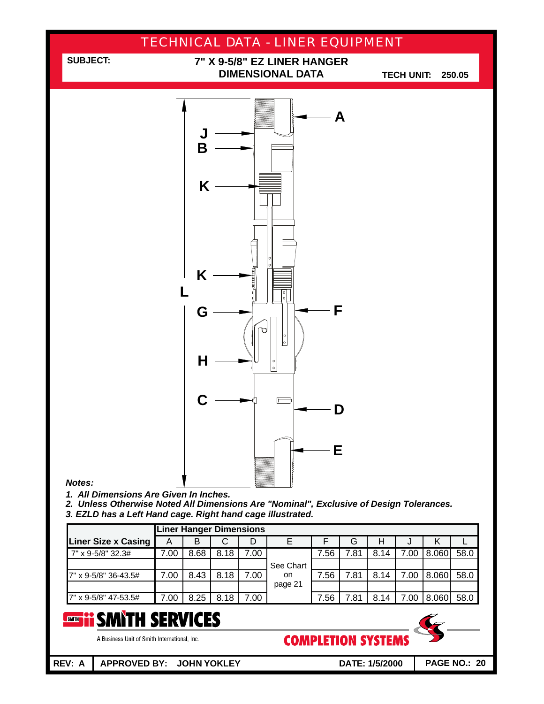

**REV: A APPROVED BY: JOHN YOKLEY DATE: 1/5/2000**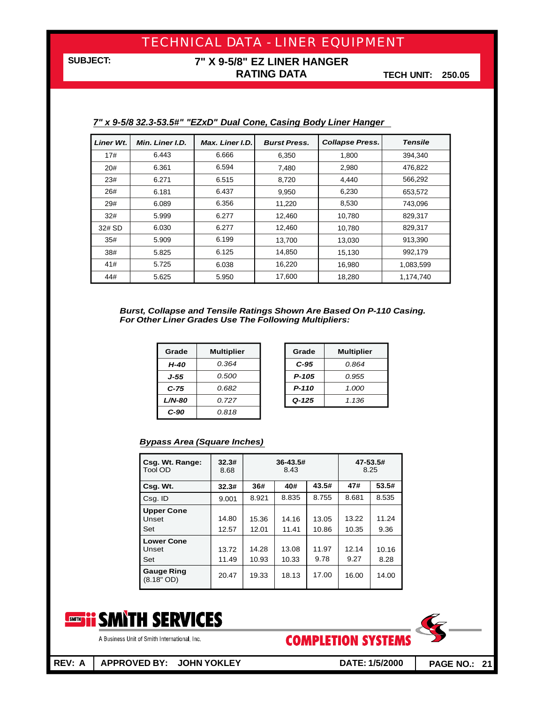### **7" X 9-5/8" EZ LINER HANGER RATING DATA**

**TECH UNIT: 250.05**

| Liner Wt. | Min. Liner I.D. | Max. Liner I.D. | <b>Burst Press.</b> | <b>Collapse Press.</b> | <b>Tensile</b> |
|-----------|-----------------|-----------------|---------------------|------------------------|----------------|
| 17#       | 6.443           | 6.666           | 6,350               | 1,800                  | 394,340        |
| 20#       | 6.361           | 6.594           | 7,480               | 2,980                  | 476,822        |
| 23#       | 6.271           | 6.515           | 8,720               | 4,440                  | 566,292        |
| 26#       | 6.181           | 6.437           | 9,950               | 6,230                  | 653,572        |
| 29#       | 6.089           | 6.356           | 11,220              | 8,530                  | 743.096        |
| 32#       | 5.999           | 6.277           | 12,460              | 10,780                 | 829,317        |
| 32# SD    | 6.030           | 6.277           | 12,460              | 10.780                 | 829.317        |
| 35#       | 5.909           | 6.199           | 13,700              | 13,030                 | 913.390        |
| 38#       | 5.825           | 6.125           | 14.850              | 15,130                 | 992.179        |
| 41#       | 5.725           | 6.038           | 16,220              | 16,980                 | 1,083,599      |
| 44#       | 5.625           | 5.950           | 17,600              | 18,280                 | 1,174,740      |

#### *7" x 9-5/8 32.3-53.5#" "EZxD" Dual Cone, Casing Body Liner Hanger*

*Burst, Collapse and Tensile Ratings Shown Are Based On P-110 Casing. For Other Liner Grades Use The Following Multipliers:*

| Grade         | <b>Multiplier</b> | Grade     | <b>Multipli</b> |
|---------------|-------------------|-----------|-----------------|
| H-40          | 0.364             | $C-95$    | 0.864           |
| J-55          | 0.500             | $P-105$   | 0.955           |
| $C-75$        | 0.682             | $P-110$   | 1.000           |
| <b>L/N-80</b> | 0.727             | $Q - 125$ | 1.136           |
| C-90          | 0.818             |           |                 |

| Grade     | <b>Multiplier</b> |
|-----------|-------------------|
| C-95      | N 864             |
| P-105     | 0.955             |
| P-110     | 1.000             |
| $Q - 125$ | 1.136             |

#### *Bypass Area (Square Inches)*

| Csg. Wt. Range:<br>Tool OD        | 32.3#<br>8.68  | 36-43.5#<br>8.43 |                |                | 47-53.5#<br>8.25 |               |  |
|-----------------------------------|----------------|------------------|----------------|----------------|------------------|---------------|--|
| Csg. Wt.                          | 32.3#          | 36#              | 40#            | 43.5#          | 47#              | 53.5#         |  |
| Csg. ID                           | 9.001          | 8.921            | 8.835          | 8.755          | 8.681            | 8.535         |  |
| <b>Upper Cone</b><br>Unset<br>Set | 14.80<br>12.57 | 15.36<br>12.01   | 14.16<br>11.41 | 13.05<br>10.86 | 13.22<br>10.35   | 11.24<br>9.36 |  |
| <b>Lower Cone</b><br>Unset<br>Set | 13.72<br>11.49 | 14.28<br>10.93   | 13.08<br>10.33 | 11.97<br>9.78  | 12.14<br>9.27    | 10.16<br>8.28 |  |
| <b>Gauge Ring</b><br>$(8.18"$ OD) | 20.47          | 19.33            | 18.13          | 17.00          | 16.00            | 14.00         |  |





A Business Unit of Smith International, Inc.

**REV: A APPROVED BY: JOHN YOKLEY DATE: 1/5/2000**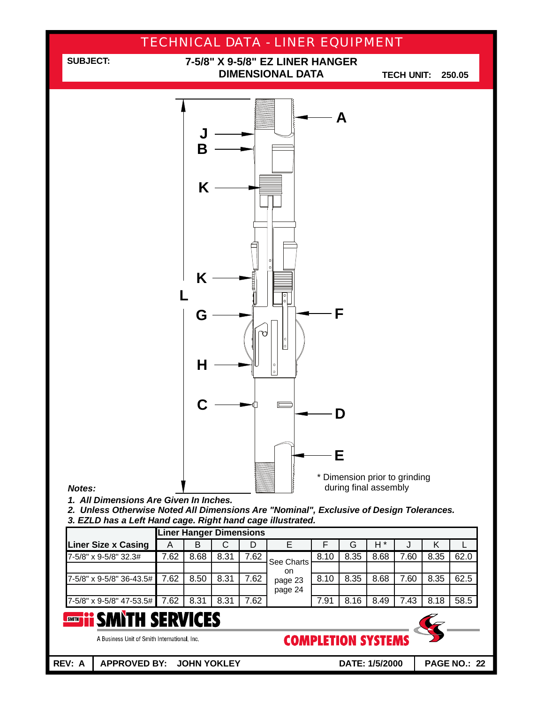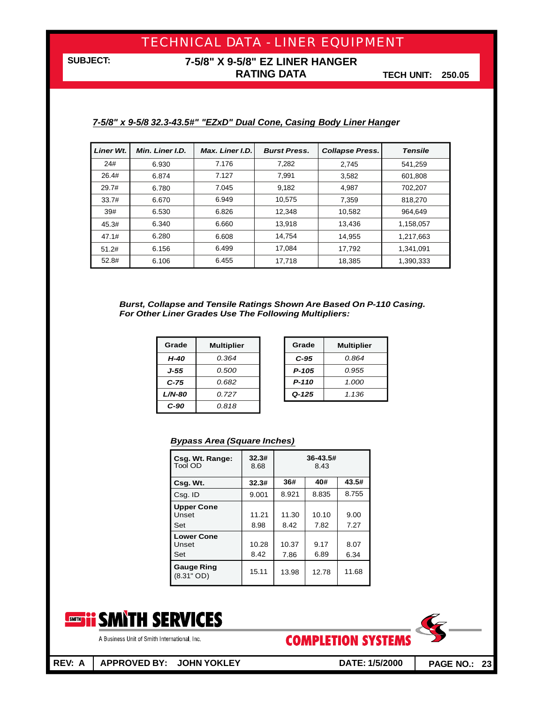### **7-5/8" X 9-5/8" EZ LINER HANGER RATING DATA**

**TECH UNIT: 250.05**

#### *7-5/8" x 9-5/8 32.3-43.5#" "EZxD" Dual Cone, Casing Body Liner Hanger*

| <b>Liner Wt.</b> | Min. Liner I.D. | Max. Liner I.D. | <b>Burst Press.</b> | <b>Collapse Press.</b> | <b>Tensile</b> |
|------------------|-----------------|-----------------|---------------------|------------------------|----------------|
| 24#              | 6.930           | 7.176           | 7.282               | 2,745                  | 541.259        |
| 26.4#            | 6.874           | 7.127           | 7.991               | 3,582                  | 601.808        |
| 29.7#            | 6.780           | 7.045           | 9.182               | 4,987                  | 702,207        |
| 33.7#            | 6.670           | 6.949           | 10,575              | 7,359                  | 818,270        |
| 39#              | 6.530           | 6.826           | 12.348              | 10,582                 | 964.649        |
| 45.3#            | 6.340           | 6.660           | 13.918              | 13.436                 | 1.158.057      |
| 47.1#            | 6.280           | 6.608           | 14.754              | 14,955                 | 1,217,663      |
| 51.2#            | 6.156           | 6.499           | 17.084              | 17.792                 | 1.341.091      |
| 52.8#            | 6.106           | 6.455           | 17,718              | 18,385                 | 1,390,333      |

*Burst, Collapse and Tensile Ratings Shown Are Based On P-110 Casing. For Other Liner Grades Use The Following Multipliers:*

| Grade         | <b>Multiplier</b> | Grade     | <b>Multipli</b> |
|---------------|-------------------|-----------|-----------------|
| H-40          | 0.364             | $C-95$    | 0.864           |
| J-55          | 0.500             | $P-105$   | 0.955           |
| $C-75$        | 0.682             | $P-110$   | 1.000           |
| <b>L/N-80</b> | 0.727             | $Q - 125$ | 1.136           |
| $C-90$        | 0.818             |           |                 |

| Grade     | <b>Multiplier</b> |
|-----------|-------------------|
| $C-95$    | N 864             |
| P-105     | 0.955             |
| P-110     | 1.000             |
| $Q - 125$ | 1.136             |

#### *Bypass Area (Square Inches)*

| Csg. Wt. Range:<br>Tool OD        | 32.3#<br>8.68 | $36 - 43.5#$<br>8.43 |               |              |  |  |
|-----------------------------------|---------------|----------------------|---------------|--------------|--|--|
| Csg. Wt.                          | 32.3#         | 36#                  | 40#           | 43.5#        |  |  |
| Csg. ID                           | 9.001         | 8.921                | 8.835         | 8.755        |  |  |
| <b>Upper Cone</b><br>Unset<br>Set | 11.21<br>8.98 | 11.30<br>8.42        | 10.10<br>7.82 | 9.00<br>7.27 |  |  |
| <b>Lower Cone</b><br>Unset<br>Set | 10.28<br>8.42 | 10.37<br>7.86        | 9.17<br>6.89  | 8.07<br>6.34 |  |  |
| <b>Gauge Ring</b><br>$(8.31"$ OD) | 15.11         | 13.98                | 12.78         | 11.68        |  |  |



**COMPLETION SYSTEMS** 



A Business Unit of Smith International, Inc.

**REV: A APPROVED BY: JOHN YOKLEY DATE: 1/5/2000**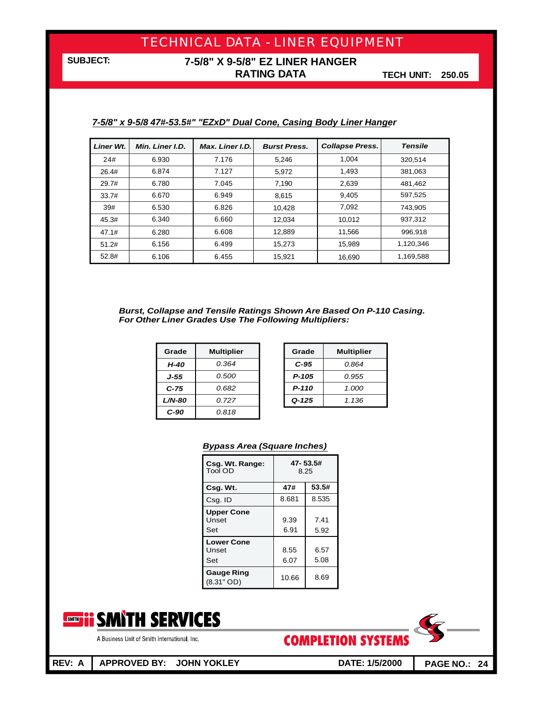### **7-5/8" X 9-5/8" EZ LINER HANGER RATING DATA**

**TECH UNIT: 250.05**

| Liner Wt. | Min. Liner I.D. | Max. Liner I.D. | <b>Burst Press.</b> | <b>Collapse Press.</b> | <b>Tensile</b> |
|-----------|-----------------|-----------------|---------------------|------------------------|----------------|
| 24#       | 6.930           | 7.176           | 5,246               | 1.004                  | 320.514        |
| 26.4#     | 6.874           | 7.127           | 5.972               | 1.493                  | 381.063        |
| 29.7#     | 6.780           | 7.045           | 7,190               | 2,639                  | 481,462        |
| 33.7#     | 6.670           | 6.949           | 8.615               | 9,405                  | 597,525        |
| 39#       | 6.530           | 6.826           | 10,428              | 7.092                  | 743,905        |
| 45.3#     | 6.340           | 6.660           | 12,034              | 10.012                 | 937,312        |
| 47.1#     | 6.280           | 6.608           | 12,889              | 11,566                 | 996.918        |
| 51.2#     | 6.156           | 6.499           | 15.273              | 15.989                 | 1.120.346      |
| 52.8#     | 6.106           | 6.455           | 15,921              | 16,690                 | 1,169,588      |

#### *7-5/8" x 9-5/8 47#-53.5#" "EZxD" Dual Cone, Casing Body Liner Hanger*

*Burst, Collapse and Tensile Ratings Shown Are Based On P-110 Casing. For Other Liner Grades Use The Following Multipliers:*

| Grade         | <b>Multiplier</b> | Grade     | <b>Multipli</b> |
|---------------|-------------------|-----------|-----------------|
| H-40          | 0.364             | $C-95$    | 0.864           |
| J-55          | 0.500             | $P-105$   | 0.955           |
| $C-75$        | 0.682             | $P - 110$ | 1.000           |
| <b>L/N-80</b> | 0.727             | $Q - 125$ | 1.136           |
| C-90          | 0.818             |           |                 |

| Grade | <b>Multiplier</b> |
|-------|-------------------|
| C-95  | N 864             |
| P-105 | 0.955             |
| P-110 | 1.000             |
| Q-125 | 1.136             |

#### *Bypass Area (Square Inches)*

| Csg. Wt. Range:<br><b>Tool OD</b> | 47-53.5#<br>8.25 |              |  |
|-----------------------------------|------------------|--------------|--|
| Csg. Wt.                          | 47#              | 53.5#        |  |
| Csg. ID                           | 8.681            | 8.535        |  |
| <b>Upper Cone</b><br>Unset<br>Set | 9.39<br>6.91     | 7.41<br>5.92 |  |
| <b>Lower Cone</b><br>Unset<br>Set | 8.55<br>6.07     | 6.57<br>5.08 |  |
| <b>Gauge Ring</b><br>$(8.31"$ OD) | 10.66            | 8.69         |  |





**REV: A APPROVED BY: JOHN YOKLEY DATE: 1/5/2000**

**PAGE NO.: 24**

A Business Unit of Smith International, Inc.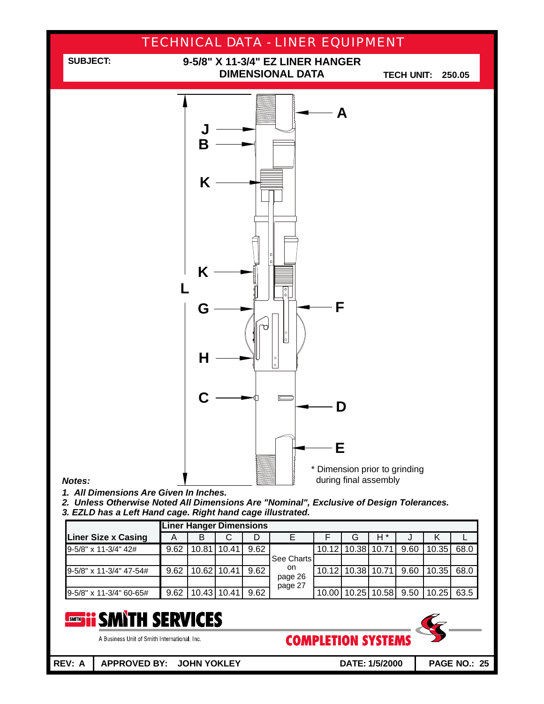

*3. EZLD has a Left Hand cage. Right hand cage illustrated.*

|                            |      | <b>Liner Hanger Dimensions</b> |             |      |                    |       |                   |             |      |       |      |
|----------------------------|------|--------------------------------|-------------|------|--------------------|-------|-------------------|-------------|------|-------|------|
| <b>Liner Size x Casing</b> | Α    | В                              | ◡           | D    |                    |       | G                 | H *         |      | к     |      |
| 9-5/8" x 11-3/4" 42#       | 9.62 | 10.81                          | 110.41      | 9.62 |                    |       | 10.12 10.38 10.71 |             | 9.60 | 10.35 | 68.0 |
|                            |      |                                |             |      | See Charts         |       |                   |             |      |       |      |
| 9-5/8" x 11-3/4" 47-54#    | 9.62 |                                | 10.62 10.41 | 9.62 | on.                | 10.12 |                   | 10.38 10.71 | 9.60 | 10.35 | 68.0 |
|                            |      |                                |             |      | page 26<br>page 27 |       |                   |             |      |       |      |
| 9-5/8" x 11-3/4" 60-65#    | 9.62 |                                | 10.43 10.41 | 9.62 |                    | 10.00 |                   | 10.25 10.58 | 9.50 | 10.25 | 63.5 |

#### **SMITH SERVICES** SMITH

A Business Unit of Smith International, Inc.

**COMPLETION SYSTEMS** 

**PAGE NO.: 25**

**REV: A APPROVED BY: JOHN YOKLEY DATE: 1/5/2000**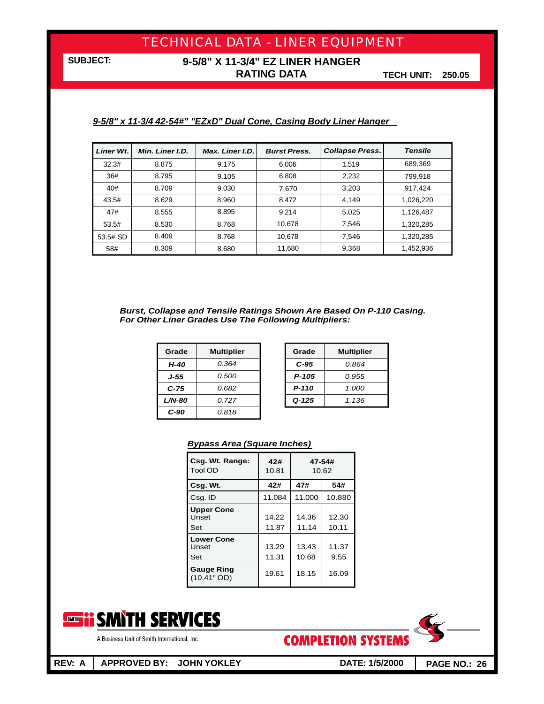### **9-5/8" X 11-3/4" EZ LINER HANGER RATING DATA**

**TECH UNIT: 250.05**

#### *9-5/8" x 11-3/4 42-54#" "EZxD" Dual Cone, Casing Body Liner Hanger*

| <b>Liner Wt.</b> | Min. Liner I.D. | Max. Liner I.D. | <b>Burst Press.</b> | <b>Collapse Press.</b> | <b>Tensile</b> |
|------------------|-----------------|-----------------|---------------------|------------------------|----------------|
| 32.3#            | 8.875           | 9.175           | 6.006               | 1.519                  | 689,369        |
| 36#              | 8.795           | 9.105           | 6.808               | 2,232                  | 799.918        |
| 40#              | 8.709           | 9.030           | 7.670               | 3,203                  | 917.424        |
| 43.5#            | 8.629           | 8.960           | 8,472               | 4,149                  | 1,026,220      |
| 47#              | 8.555           | 8.895           | 9.214               | 5,025                  | 1,126,487      |
| 53.5#            | 8.530           | 8.768           | 10,678              | 7,546                  | 1,320,285      |
| 53.5# SD         | 8.409           | 8.768           | 10.678              | 7.546                  | 1,320,285      |
| 58#              | 8.309           | 8.680           | 11,680              | 9,368                  | 1,452,936      |

#### *Burst, Collapse and Tensile Ratings Shown Are Based On P-110 Casing. For Other Liner Grades Use The Following Multipliers:*

| Grade     | <b>Multiplier</b> | Grade     | <b>Multipli</b> |
|-----------|-------------------|-----------|-----------------|
| H-40      | 0.364             | $C-95$    | 0.864           |
| J-55      | 0.500             | $P-105$   | 0.955           |
| $C-75$    | 0.682             | $P-110$   | 1.000           |
| $L/N$ -80 | 0.727             | $Q - 125$ | 1.136           |
| $C-90$    | 0.818             |           |                 |

| Grade     | <b>Multiplier</b> |  |  |  |
|-----------|-------------------|--|--|--|
| C-95      | N 864             |  |  |  |
| P-105     | 0.955             |  |  |  |
| P-110     | 1.000             |  |  |  |
| $Q - 125$ | 1.136             |  |  |  |

#### *Bypass Area (Square Inches)*

| Csg. Wt. Range:<br><b>Tool OD</b> | 42#<br>10.81   | 47-54#<br>10.62 |                |  |
|-----------------------------------|----------------|-----------------|----------------|--|
| Csg. Wt.                          | 42#            | 47#             | 54#            |  |
| Csg. ID                           | 11.084         | 11.000          | 10.880         |  |
| <b>Upper Cone</b><br>Unset<br>Set | 14.22<br>11.87 | 14.36<br>11.14  | 12.30<br>10.11 |  |
| <b>Lower Cone</b><br>Unset<br>Set | 13.29<br>11.31 | 13.43<br>10.68  | 11.37<br>9.55  |  |
| <b>Gauge Ring</b><br>(10.41" OD)  | 19.61          | 18.15           | 16.09          |  |





A Business Unit of Smith International, Inc.

**REV: A APPROVED BY: JOHN YOKLEY DATE: 1/5/2000**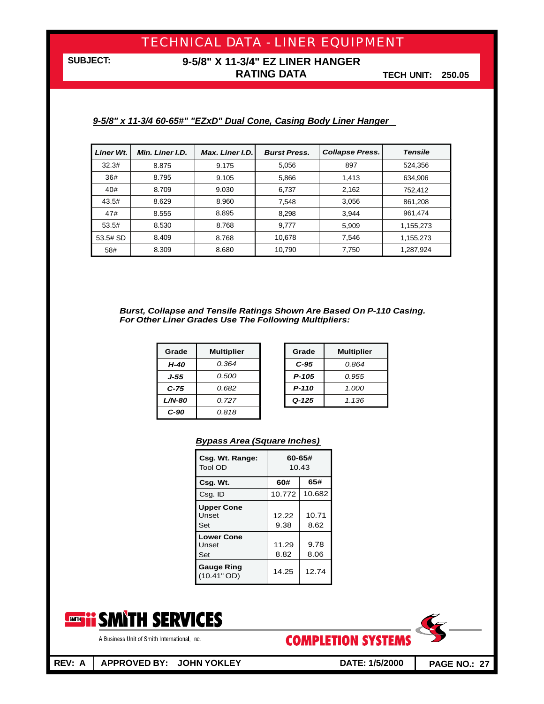### **9-5/8" X 11-3/4" EZ LINER HANGER RATING DATA**

**TECH UNIT: 250.05**

#### *9-5/8" x 11-3/4 60-65#" "EZxD" Dual Cone, Casing Body Liner Hanger*

| Liner Wt. | Min. Liner I.D. | Max. Liner I.D. | <b>Burst Press.</b> | <b>Collapse Press.</b> | <b>Tensile</b> |
|-----------|-----------------|-----------------|---------------------|------------------------|----------------|
| 32.3#     | 8.875           | 9.175           | 5,056               | 897                    | 524,356        |
| 36#       | 8.795           | 9.105           | 5,866               | 1,413                  | 634,906        |
| 40#       | 8.709           | 9.030           | 6,737               | 2,162                  | 752,412        |
| 43.5#     | 8.629           | 8.960           | 7,548               | 3,056                  | 861,208        |
| 47#       | 8.555           | 8.895           | 8,298               | 3,944                  | 961,474        |
| 53.5#     | 8.530           | 8.768           | 9.777               | 5,909                  | 1,155,273      |
| 53.5# SD  | 8.409           | 8.768           | 10.678              | 7,546                  | 1,155,273      |
| 58#       | 8.309           | 8.680           | 10,790              | 7,750                  | 1,287,924      |

#### *Burst, Collapse and Tensile Ratings Shown Are Based On P-110 Casing. For Other Liner Grades Use The Following Multipliers:*

| Grade     | <b>Multiplier</b> | Grade     | <b>Multipli</b> |
|-----------|-------------------|-----------|-----------------|
| H-40      | 0.364             | $C-95$    | 0.864           |
| J-55      | 0.500             | $P-105$   | 0.955           |
| C-75      | 0.682             | $P-110$   | 1.000           |
| $L/N$ -80 | 0.727             | $Q - 125$ | 1.136           |
| $C-90$    | 0.818             |           |                 |

| Grade     | <b>Multiplier</b> |  |  |  |
|-----------|-------------------|--|--|--|
| $C-95$    | N 864             |  |  |  |
| P-105     | 0.955             |  |  |  |
| P-110     | 1.000             |  |  |  |
| $Q - 125$ | 1.136             |  |  |  |

#### *Bypass Area (Square Inches)*

| Csg. Wt. Range:<br>Tool OD        | 60-65#<br>10.43 |               |  |
|-----------------------------------|-----------------|---------------|--|
| Csg. Wt.                          | 60#             | 65#           |  |
| Csg. ID                           | 10.772          | 10.682        |  |
| <b>Upper Cone</b><br>Unset<br>Set | 12.22<br>9.38   | 10.71<br>8.62 |  |
| <b>Lower Cone</b><br>Unset<br>Set | 11.29<br>8.82   | 9.78<br>8.06  |  |
| <b>Gauge Ring</b><br>(10.41" OD)  | 14.25           | 12.74         |  |



A Business Unit of Smith International, Inc.

**COMPLETION SYSTEMS** 



**REV: A APPROVED BY: JOHN YOKLEY DATE: 1/5/2000**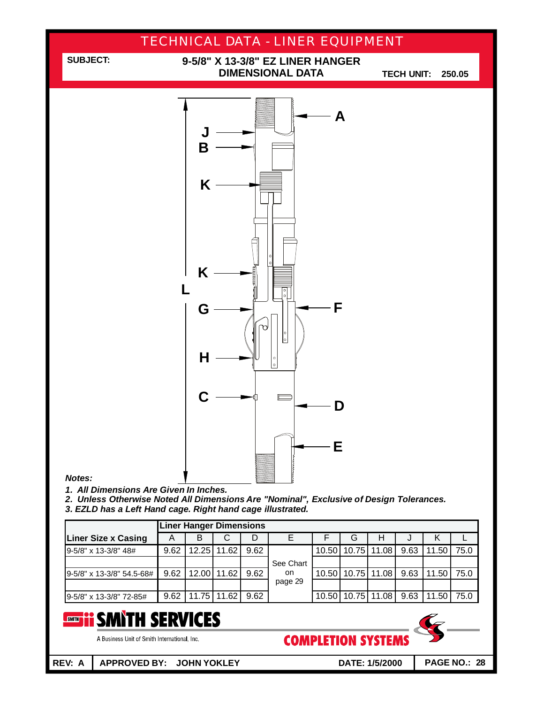

| <b>Liner Hanger Dimensions</b> |      |   |               |      |           |  |   |                       |      |       |      |
|--------------------------------|------|---|---------------|------|-----------|--|---|-----------------------|------|-------|------|
| <b>Liner Size x Casing</b>     | A    | В | С             | D    |           |  | G | н                     |      |       |      |
| 9-5/8" x 13-3/8" 48#           | 9.62 |   | 12.25 11.62   | 9.62 |           |  |   | 10.50 10.75 11.08     | 9.63 | 11.50 | 75.0 |
|                                |      |   |               |      | See Chart |  |   |                       |      |       |      |
| 9-5/8" x 13-3/8" 54.5-68#      | 9.62 |   | 12.00   11.62 | 9.62 | on.       |  |   | 10.50   10.75   11.08 | 9.63 | 11.50 | 75.0 |
|                                |      |   |               |      | page 29   |  |   |                       |      |       |      |
| 9-5/8" x 13-3/8" 72-85#        | 9.62 |   | 11.75   11.62 | 9.62 |           |  |   | 10.50 10.75 11.08     | 9.63 | 11.50 | 75.0 |

#### **SMITH SERVICES** SMITH

A Business Unit of Smith International, Inc.

**REV: A APPROVED BY: JOHN YOKLEY DATE: 1/5/2000**

**COMPLETION SYSTEMS**